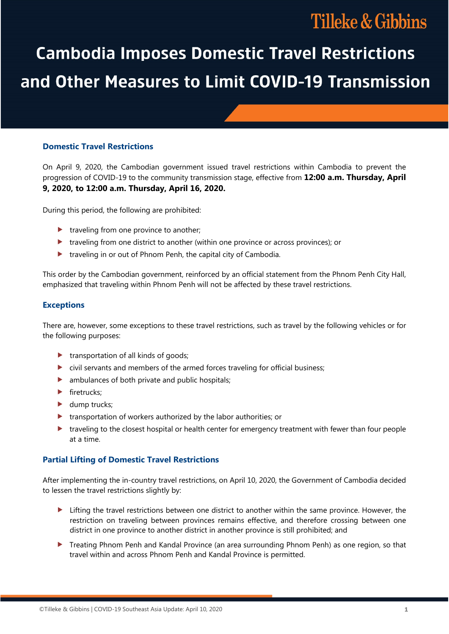# **Tilleke & Gibbins**

# **Cambodia Imposes Domestic Travel Restrictions** and Other Measures to Limit COVID-19 Transmission

# **Domestic Travel Restrictions**

On April 9, 2020, the Cambodian government issued travel restrictions within Cambodia to prevent the progression of COVID-19 to the community transmission stage, effective from **12:00 a.m. Thursday, April 9, 2020, to 12:00 a.m. Thursday, April 16, 2020.** 

During this period, the following are prohibited:

- $\blacktriangleright$  traveling from one province to another;
- traveling from one district to another (within one province or across provinces); or
- **traveling in or out of Phnom Penh, the capital city of Cambodia.**

This order by the Cambodian government, reinforced by an official statement from the Phnom Penh City Hall, emphasized that traveling within Phnom Penh will not be affected by these travel restrictions.

#### **Exceptions**

There are, however, some exceptions to these travel restrictions, such as travel by the following vehicles or for the following purposes:

- $\blacktriangleright$  transportation of all kinds of goods;
- civil servants and members of the armed forces traveling for official business;
- **D** ambulances of both private and public hospitals;
- $\blacktriangleright$  firetrucks;
- $\blacktriangleright$  dump trucks;
- **transportation of workers authorized by the labor authorities; or**
- traveling to the closest hospital or health center for emergency treatment with fewer than four people at a time.

# **Partial Lifting of Domestic Travel Restrictions**

After implementing the in-country travel restrictions, on April 10, 2020, the Government of Cambodia decided to lessen the travel restrictions slightly by:

- Lifting the travel restrictions between one district to another within the same province. However, the restriction on traveling between provinces remains effective, and therefore crossing between one district in one province to another district in another province is still prohibited; and
- **Treating Phnom Penh and Kandal Province (an area surrounding Phnom Penh) as one region, so that** travel within and across Phnom Penh and Kandal Province is permitted.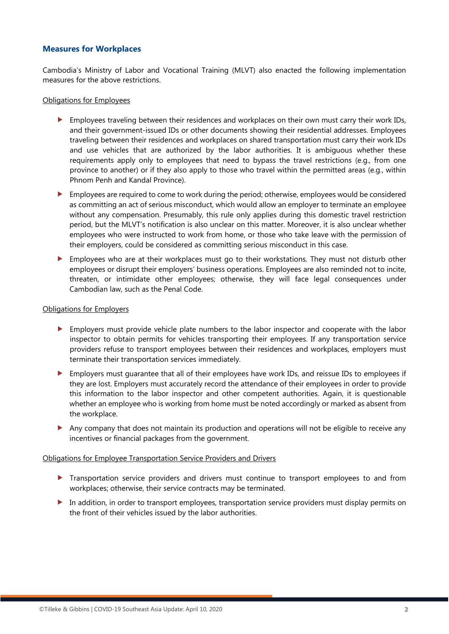# **Measures for Workplaces**

Cambodia's Ministry of Labor and Vocational Training (MLVT) also enacted the following implementation measures for the above restrictions.

#### Obligations for Employees

- Employees traveling between their residences and workplaces on their own must carry their work IDs, and their government-issued IDs or other documents showing their residential addresses. Employees traveling between their residences and workplaces on shared transportation must carry their work IDs and use vehicles that are authorized by the labor authorities. It is ambiguous whether these requirements apply only to employees that need to bypass the travel restrictions (e.g., from one province to another) or if they also apply to those who travel within the permitted areas (e.g., within Phnom Penh and Kandal Province).
- Employees are required to come to work during the period; otherwise, employees would be considered as committing an act of serious misconduct, which would allow an employer to terminate an employee without any compensation. Presumably, this rule only applies during this domestic travel restriction period, but the MLVT's notification is also unclear on this matter. Moreover, it is also unclear whether employees who were instructed to work from home, or those who take leave with the permission of their employers, could be considered as committing serious misconduct in this case.
- Employees who are at their workplaces must go to their workstations. They must not disturb other employees or disrupt their employers' business operations. Employees are also reminded not to incite, threaten, or intimidate other employees; otherwise, they will face legal consequences under Cambodian law, such as the Penal Code.

#### Obligations for Employers

- Employers must provide vehicle plate numbers to the labor inspector and cooperate with the labor inspector to obtain permits for vehicles transporting their employees. If any transportation service providers refuse to transport employees between their residences and workplaces, employers must terminate their transportation services immediately.
- Employers must guarantee that all of their employees have work IDs, and reissue IDs to employees if they are lost. Employers must accurately record the attendance of their employees in order to provide this information to the labor inspector and other competent authorities. Again, it is questionable whether an employee who is working from home must be noted accordingly or marked as absent from the workplace.
- Any company that does not maintain its production and operations will not be eligible to receive any incentives or financial packages from the government.

#### Obligations for Employee Transportation Service Providers and Drivers

- **Transportation service providers and drivers must continue to transport employees to and from** workplaces; otherwise, their service contracts may be terminated.
- In addition, in order to transport employees, transportation service providers must display permits on the front of their vehicles issued by the labor authorities.